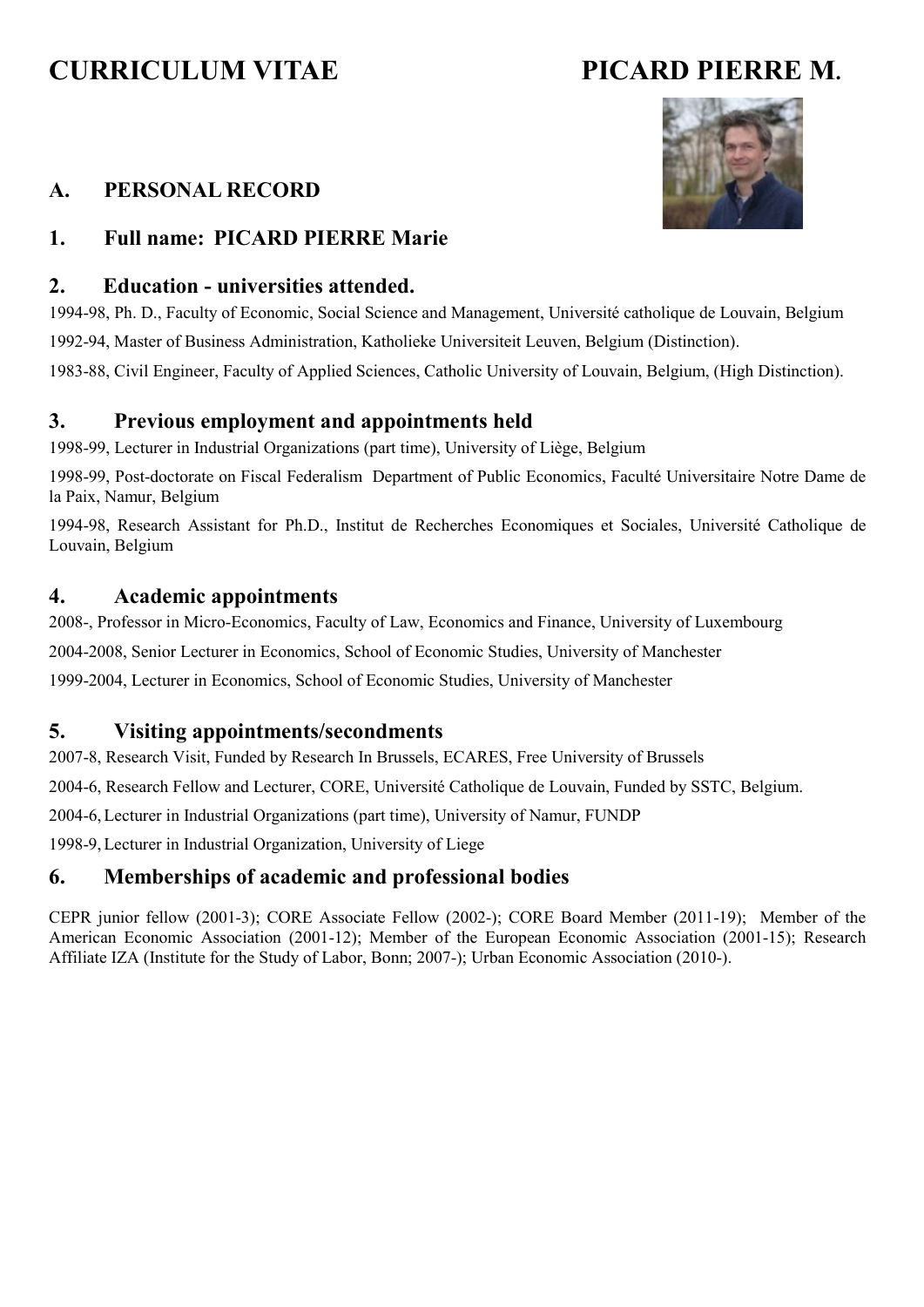# **CURRICULUM VITAE PICARD PIERRE M.**

# **A. PERSONAL RECORD**

# **1. Full name: PICARD PIERRE Marie**

# **2. Education - universities attended.**

1994-98, Ph. D., Faculty of Economic, Social Science and Management, Université catholique de Louvain, Belgium 1992-94, Master of Business Administration, Katholieke Universiteit Leuven, Belgium (Distinction). 1983-88, Civil Engineer, Faculty of Applied Sciences, Catholic University of Louvain, Belgium, (High Distinction).

# **3. Previous employment and appointments held**

1998-99, Lecturer in Industrial Organizations (part time), University of Liège, Belgium

1998-99, Post-doctorate on Fiscal Federalism Department of Public Economics, Faculté Universitaire Notre Dame de la Paix, Namur, Belgium

1994-98, Research Assistant for Ph.D., Institut de Recherches Economiques et Sociales, Université Catholique de Louvain, Belgium

# **4. Academic appointments**

2008-, Professor in Micro-Economics, Faculty of Law, Economics and Finance, University of Luxembourg

2004-2008, Senior Lecturer in Economics, School of Economic Studies, University of Manchester

1999-2004, Lecturer in Economics, School of Economic Studies, University of Manchester

# **5. Visiting appointments/secondments**

2007-8, Research Visit, Funded by Research In Brussels, ECARES, Free University of Brussels

2004-6, Research Fellow and Lecturer, CORE, Université Catholique de Louvain, Funded by SSTC, Belgium.

2004-6,Lecturer in Industrial Organizations (part time), University of Namur, FUNDP

1998-9,Lecturer in Industrial Organization, University of Liege

# **6. Memberships of academic and professional bodies**

CEPR junior fellow (2001-3); CORE Associate Fellow (2002-); CORE Board Member (2011-19); Member of the American Economic Association (2001-12); Member of the European Economic Association (2001-15); Research Affiliate IZA (Institute for the Study of Labor, Bonn; 2007-); Urban Economic Association (2010-).

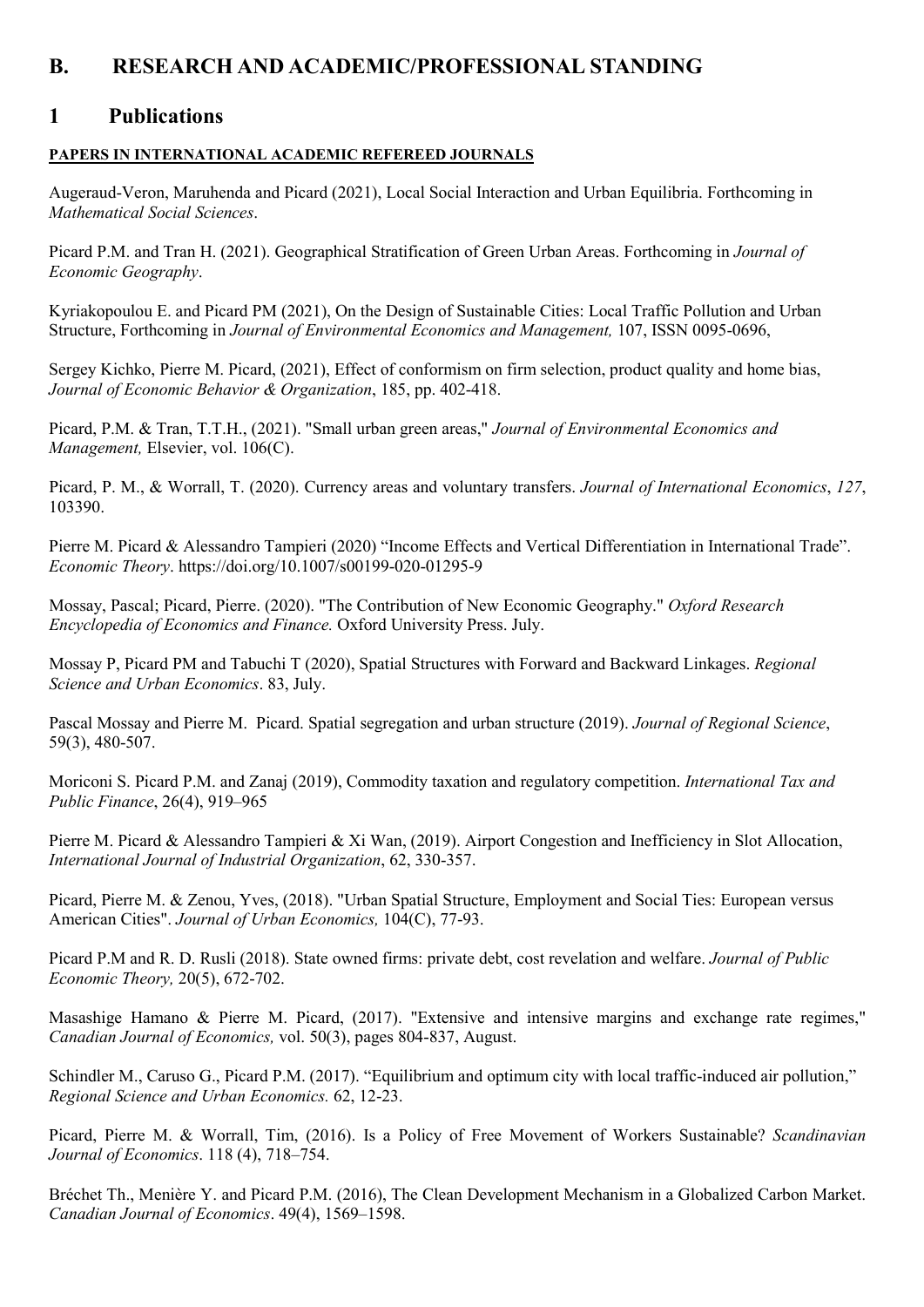# **B. RESEARCH AND ACADEMIC/PROFESSIONAL STANDING**

# **1 Publications**

#### **PAPERS IN INTERNATIONAL ACADEMIC REFEREED JOURNALS**

Augeraud-Veron, Maruhenda and Picard (2021), Local Social Interaction and Urban Equilibria. Forthcoming in *Mathematical Social Sciences*.

Picard P.M. and Tran H. (2021). Geographical Stratification of Green Urban Areas. Forthcoming in *Journal of Economic Geography*.

Kyriakopoulou E. and Picard PM (2021), On the Design of Sustainable Cities: Local Traffic Pollution and Urban Structure, Forthcoming in *Journal of Environmental Economics and Management,* 107, ISSN 0095-0696,

Sergey Kichko, Pierre M. Picard, (2021), Effect of conformism on firm selection, product quality and home bias, *Journal of Economic Behavior & Organization*, 185, pp. 402-418.

Picard, P.M. & Tran, T.T.H., (2021). "Small urban green areas," *Journal of Environmental Economics and Management,* Elsevier, vol. 106(C).

Picard, P. M., & Worrall, T. (2020). Currency areas and voluntary transfers. *Journal of International Economics*, *127*, 103390.

Pierre M. Picard & Alessandro Tampieri (2020) "Income Effects and Vertical Differentiation in International Trade". *Economic Theory*. https://doi.org/10.1007/s00199-020-01295-9

Mossay, Pascal; Picard, Pierre. (2020). "The Contribution of New Economic Geography." *Oxford Research Encyclopedia of Economics and Finance.* Oxford University Press. July.

Mossay P, Picard PM and Tabuchi T (2020), Spatial Structures with Forward and Backward Linkages. *Regional Science and Urban Economics*. 83, July.

Pascal Mossay and Pierre M. Picard. Spatial segregation and urban structure (2019). *Journal of Regional Science*, 59(3), 480-507.

Moriconi S. Picard P.M. and Zanaj (2019), Commodity taxation and regulatory competition. *International Tax and Public Finance*, 26(4), 919–965

Pierre M. Picard & Alessandro Tampieri & Xi Wan, (2019). Airport Congestion and Inefficiency in Slot Allocation, *International Journal of Industrial Organization*, 62, 330-357.

Picard, Pierre M. & Zenou, Yves, (2018). "Urban Spatial Structure, Employment and Social Ties: European versus American Cities". *Journal of Urban Economics,* 104(C), 77-93.

Picard P.M and R. D. Rusli (2018). State owned firms: private debt, cost revelation and welfare. *Journal of Public Economic Theory,* 20(5), 672-702.

Masashige Hamano & Pierre M. Picard, (2017). ["Extensive and intensive margins and exchange rate regimes,](https://ideas.repec.org/a/cje/issued/v50y2017i3p804-837.html)" *[Canadian Journal of Economics,](https://ideas.repec.org/s/cje/issued.html)* vol. 50(3), pages 804-837, August.

Schindler M., Caruso G., Picard P.M. (2017). "Equilibrium and optimum city with local traffic-induced air pollution," *Regional Science and Urban Economics.* 62, 12-23.

Picard, Pierre M. & Worrall, Tim, (2016). [Is a Policy of Free Movement of Workers Sustainable?](https://ideas.repec.org/p/iza/izadps/dp8035.html) *Scandinavian Journal of Economics*. 118 (4), 718–754.

Bréchet Th., Menière Y. and Picard P.M. (2016), The Clean Development Mechanism in a Globalized Carbon Market. *Canadian Journal of Economics*. 49(4), 1569–1598.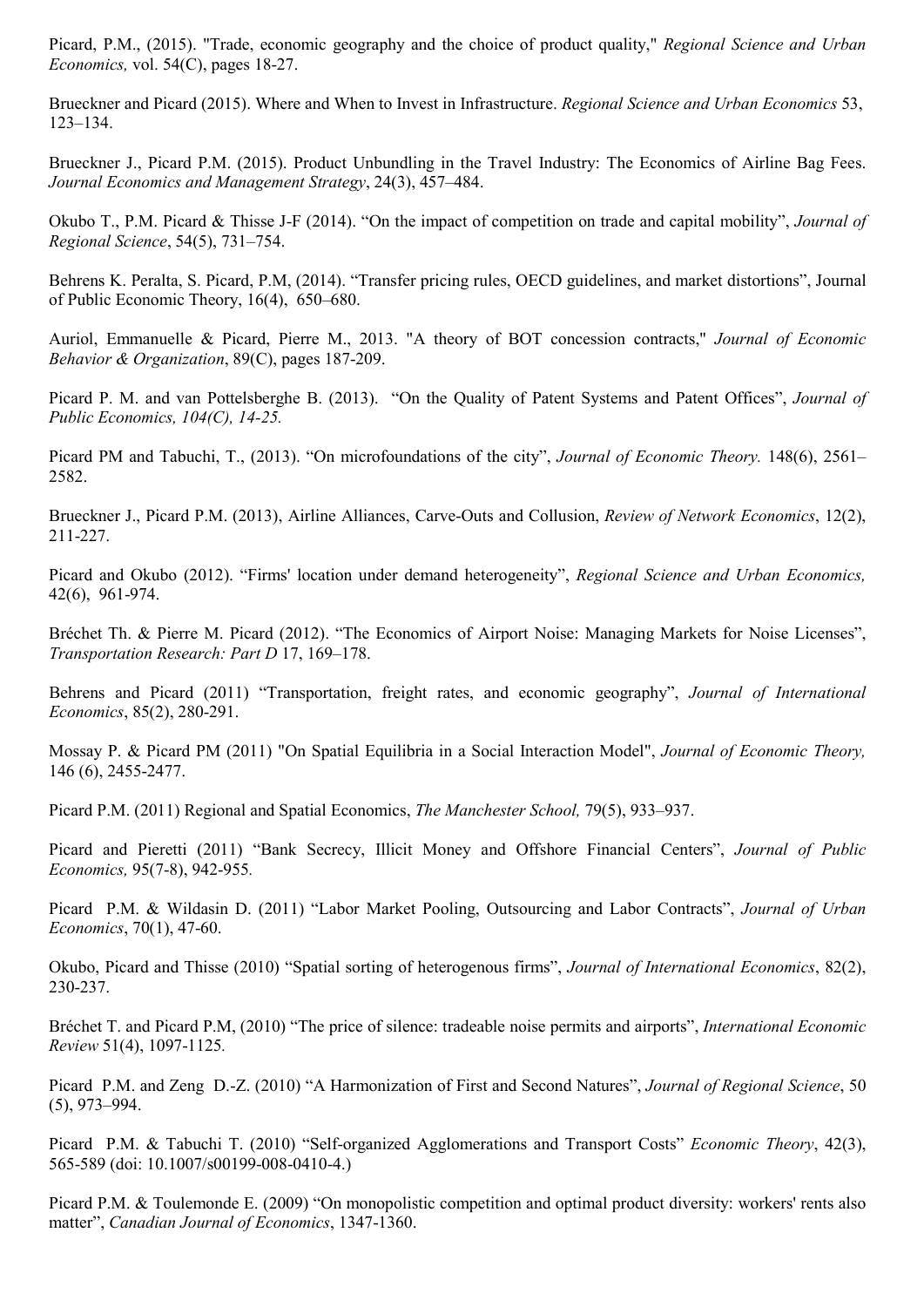Picard, P.M., (2015). "Trade, economic geography and the choice of product quality," *Regional Science and Urban Economics,* vol. 54(C), pages 18-27.

Brueckner and Picard (2015). Where and When to Invest in Infrastructure. *Regional Science and Urban Economics* 53, 123–134.

Brueckner J., Picard P.M. (2015). Product Unbundling in the Travel Industry: The Economics of Airline Bag Fees. *Journal Economics and Management Strategy*, 24(3), 457–484.

Okubo T., P.M. Picard & Thisse J-F (2014). "On the impact of competition on trade and capital mobility", *Journal of Regional Science*, 54(5), 731–754.

Behrens K. Peralta, S. Picard, P.M, (2014). "Transfer pricing rules, OECD guidelines, and market distortions", Journal of Public Economic Theory, [16\(4\),](http://onlinelibrary.wiley.com/doi/10.1111/jpet.2014.16.issue-4/issuetoc) 650–680.

Auriol, Emmanuelle & Picard, Pierre M., 2013. ["A theory of BOT concession](https://ideas.repec.org/a/eee/jeborg/v89y2013icp187-209.html) contracts," *[Journal of Economic](https://ideas.repec.org/s/eee/jeborg.html)  [Behavior & Organization](https://ideas.repec.org/s/eee/jeborg.html)*, 89(C), pages 187-209.

Picard P. M. and van Pottelsberghe B. (2013). "On the Quality of Patent Systems and Patent Offices", *Journal of Public Economics, 104(C), 14-25.*

Picard PM and Tabuchi, T., (2013). "On microfoundations of the city", *Journal of Economic Theory.* 148(6), 2561– 2582.

Brueckner J., Picard P.M. (2013), Airline Alliances, Carve-Outs and Collusion, *Review of Network Economics*, 12(2), 211-227.

Picard and Okubo (2012). "Firms' location under demand heterogeneity", *Regional Science and Urban Economics,* 42(6), 961-974.

Bréchet Th. & Pierre M. Picard (2012). "The Economics of Airport Noise: Managing Markets for Noise Licenses", *Transportation Research: Part D* 17, 169–178.

Behrens and Picard (2011) "Transportation, freight rates, and economic geography", *Journal of International Economics*, 85(2), 280-291.

Mossay P. & Picard PM (2011) "On Spatial Equilibria in a Social Interaction Model", *Journal of Economic Theory,*  146 (6), 2455-2477.

Picard P.M. (2011) Regional and Spatial Economics, *The Manchester School,* 79(5), 933–937.

Picard and Pieretti (2011) "Bank Secrecy, Illicit Money and Offshore Financial Centers", *Journal of Public Economics,* 95(7-8), 942-955*.*

Picard P.M. & Wildasin D. (2011) "Labor Market Pooling, Outsourcing and Labor Contracts", *Journal of Urban Economics*, 70(1), 47-60.

Okubo, Picard and Thisse (2010) "Spatial sorting of heterogenous firms", *Journal of International Economics*, 82(2), 230-237.

Bréchet T. and Picard P.M, (2010) "The price of silence: tradeable noise permits and airports", *International Economic Review* 51(4), 1097-1125*.*

Picard P.M. and Zeng D.-Z. (2010) "A Harmonization of First and Second Natures", *Journal of Regional Science*, 50 (5), 973–994.

Picard P.M. & Tabuchi T. (2010) "Self-organized Agglomerations and Transport Costs" *Economic Theory*, 42(3), 565-589 (doi: 10.1007/s00199-008-0410-4.)

Picard P.M. & Toulemonde E. (2009) "On monopolistic competition and optimal product diversity: workers' rents also matter", *Canadian Journal of Economics*, 1347-1360.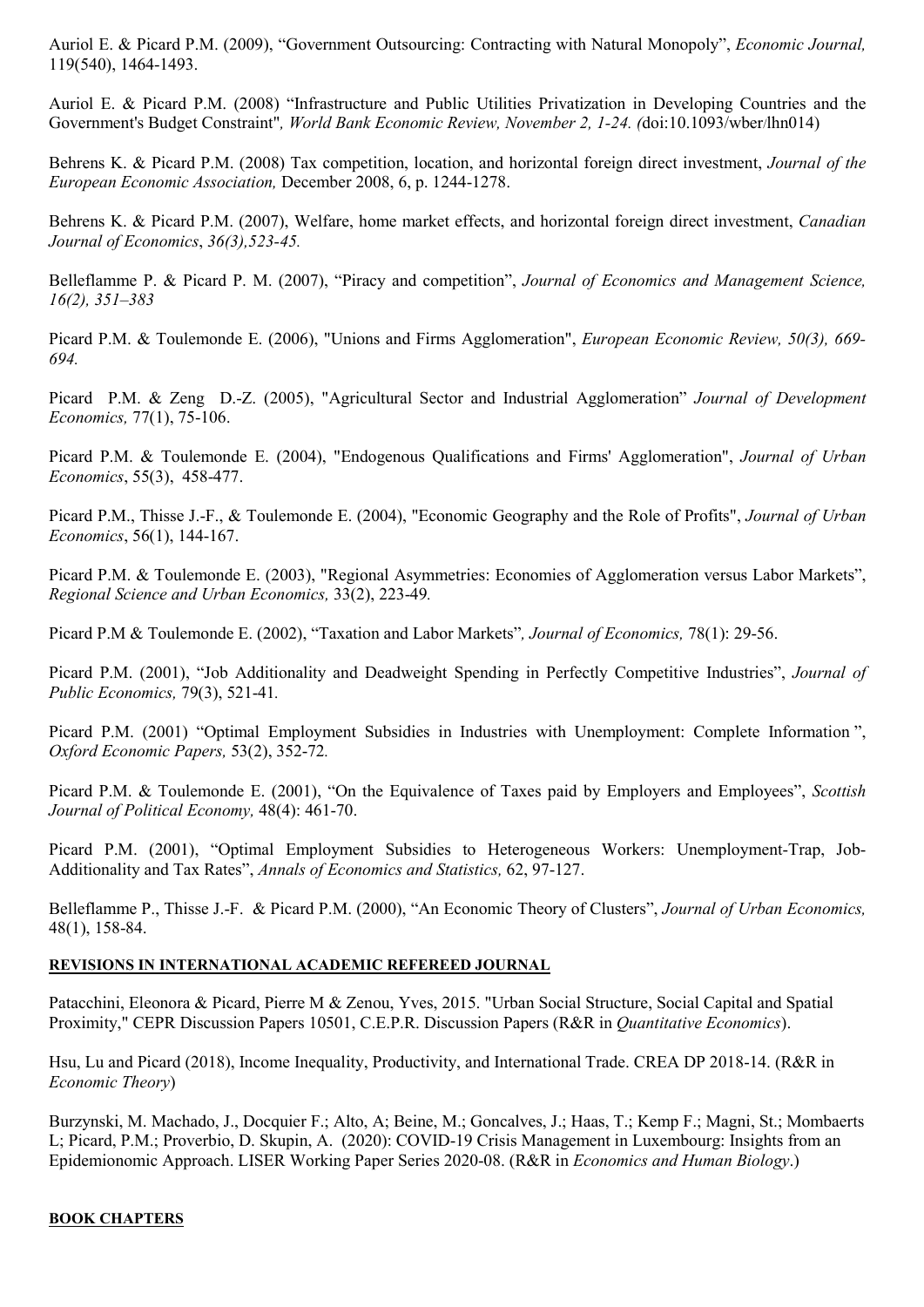Auriol E. & Picard P.M. (2009), "Government Outsourcing: Contracting with Natural Monopoly", *Economic Journal,*  119(540), 1464-1493.

Auriol E. & Picard P.M. (2008) "Infrastructure and Public Utilities Privatization in Developing Countries and the Government's Budget Constraint"*, World Bank Economic Review, November 2, 1-24. (*doi:10.1093/wber/lhn014)

Behrens K. & Picard P.M. (2008) Tax competition, location, and horizontal foreign direct investment, *Journal of the European Economic Association,* December 2008, 6, p. 1244-1278.

Behrens K. & Picard P.M. (2007), Welfare, home market effects, and horizontal foreign direct investment, *Canadian Journal of Economics*, *36(3),523-45.*

Belleflamme P. & Picard P. M. (2007), "Piracy and competition", *Journal of Economics and Management Science, 16(2), 351–383*

Picard P.M. & Toulemonde E. (2006), "Unions and Firms Agglomeration", *European Economic Review, 50(3), 669- 694.*

Picard P.M. & Zeng D.-Z. (2005), "Agricultural Sector and Industrial Agglomeration" *Journal of Development Economics,* 77(1), 75-106.

Picard P.M. & Toulemonde E. (2004), "Endogenous Qualifications and Firms' Agglomeration", *Journal of Urban Economics*, 55(3), 458-477.

Picard P.M., Thisse J.-F., & Toulemonde E. (2004), "Economic Geography and the Role of Profits", *Journal of Urban Economics*, 56(1), 144-167.

Picard P.M. & Toulemonde E. (2003), "Regional Asymmetries: Economies of Agglomeration versus Labor Markets", *Regional Science and Urban Economics,* 33(2), 223-49*.*

Picard P.M & Toulemonde E. (2002), "Taxation and Labor Markets"*, Journal of Economics,* 78(1): 29-56.

Picard P.M. (2001), "Job Additionality and Deadweight Spending in Perfectly Competitive Industries", *Journal of Public Economics,* 79(3), 521-41*.*

Picard P.M. (2001) "Optimal Employment Subsidies in Industries with Unemployment: Complete Information ", *Oxford Economic Papers,* 53(2), 352-72*.*

Picard P.M. & Toulemonde E. (2001), "On the Equivalence of Taxes paid by Employers and Employees", *Scottish Journal of Political Economy,* 48(4): 461-70.

Picard P.M. (2001), "Optimal Employment Subsidies to Heterogeneous Workers: Unemployment-Trap, Job-Additionality and Tax Rates", *Annals of Economics and Statistics,* 62, 97-127.

Belleflamme P., Thisse J.-F. & Picard P.M. (2000), "An Economic Theory of Clusters", *Journal of Urban Economics,*  48(1), 158-84.

#### **REVISIONS IN INTERNATIONAL ACADEMIC REFEREED JOURNAL**

Patacchini, Eleonora & Picard, Pierre M & Zenou, Yves, 2015. "Urban Social Structure, Social Capital and Spatial Proximity," CEPR Discussion Papers 10501, C.E.P.R. Discussion Papers (R&R in *Quantitative Economics*).

Hsu, Lu and Picard (2018), Income Inequality, Productivity, and International Trade. CREA DP 2018-14. (R&R in *Economic Theory*)

Burzynski, M. Machado, J., Docquier F.; Alto, A; Beine, M.; Goncalves, J.; Haas, T.; Kemp F.; Magni, St.; Mombaerts L; Picard, P.M.; Proverbio, D. Skupin, A. (2020): COVID-19 Crisis Management in Luxembourg: Insights from an Epidemionomic Approach. LISER Working Paper Series 2020-08. (R&R in *Economics and Human Biology*.)

#### **BOOK CHAPTERS**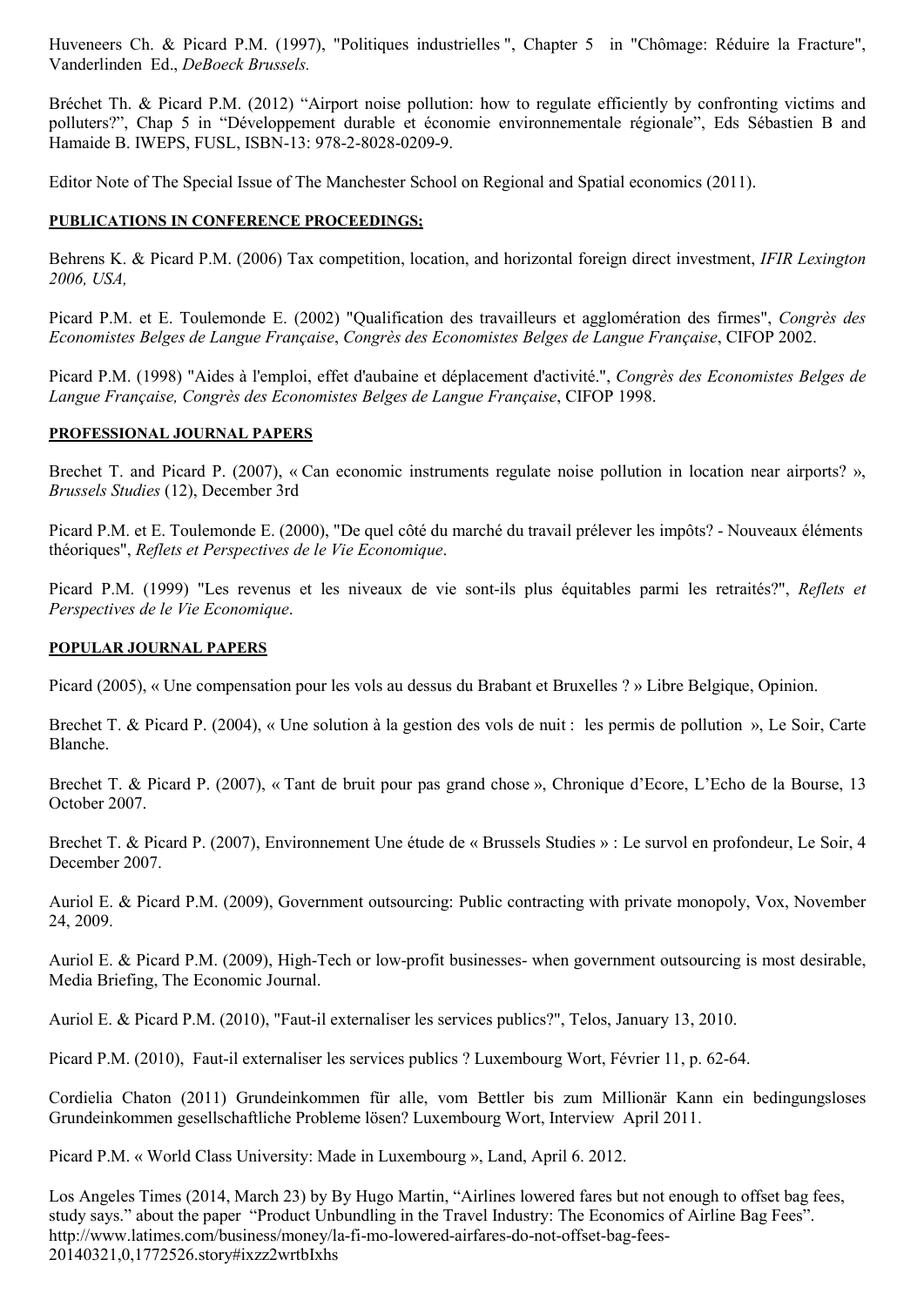Huveneers Ch. & Picard P.M. (1997), "Politiques industrielles ", Chapter 5 in "Chômage: Réduire la Fracture", Vanderlinden Ed., *DeBoeck Brussels.*

Bréchet Th. & Picard P.M. (2012) "Airport noise pollution: how to regulate efficiently by confronting victims and polluters?", Chap 5 in "Développement durable et économie environnementale régionale", Eds Sébastien B and Hamaide B. IWEPS, FUSL, ISBN-13: 978-2-8028-0209-9.

Editor Note of The Special Issue of The Manchester School on Regional and Spatial economics (2011).

#### **PUBLICATIONS IN CONFERENCE PROCEEDINGS;**

Behrens K. & Picard P.M. (2006) Tax competition, location, and horizontal foreign direct investment, *IFIR Lexington 2006, USA,* 

Picard P.M. et E. Toulemonde E. (2002) "Qualification des travailleurs et agglomération des firmes", *Congrès des Economistes Belges de Langue Française*, *Congrès des Economistes Belges de Langue Française*, CIFOP 2002.

Picard P.M. (1998) ["Aides à l'emploi, effet d'aubaine et déplacement d'activité."](http://www.ses.man.ac.uk/picard/Pages/CIFOP98.html), *Congrès des Economistes Belges de Langue Française, Congrès des Economistes Belges de Langue Française*, CIFOP 1998.

#### **PROFESSIONAL JOURNAL PAPERS**

Brechet T. and Picard P. (2007), « Can economic instruments regulate noise pollution in location near airports? », *Brussels Studies* (12), December 3rd

Picard P.M. et E. Toulemonde E. (2000), "De quel côté du marché du travail prélever les impôts? - Nouveaux éléments théoriques", *Reflets et Perspectives de le Vie Economique*.

Picard P.M. (1999) "Les revenus et les niveaux de vie sont-ils plus équitables parmi les retraités?", *Reflets et Perspectives de le Vie Economique*.

#### **POPULAR JOURNAL PAPERS**

Picard (2005), « Une compensation pour les vols au dessus du Brabant et Bruxelles ? » Libre Belgique, Opinion.

Brechet T. & Picard P. (2004), « Une solution à la gestion des vols de nuit : les permis de pollution », Le Soir, Carte Blanche.

Brechet T. & Picard P. (2007), « Tant de bruit pour pas grand chose », Chronique d'Ecore, L'Echo de la Bourse, 13 October 2007.

Brechet T. & Picard P. (2007), Environnement Une étude de « Brussels Studies » : Le survol en profondeur, Le Soir, 4 December 2007.

Auriol E. & Picard P.M. (2009), [Government outsourcing: Public contracting with private monopoly,](http://idei.fr/display.php?a=21616) [Vox,](http://idei.fr/display.php?a=7627) November 24, 2009.

Auriol E. & Picard P.M. (2009), High-Tech or low-profit businesses- when government outsourcing is most desirable, Media Briefing, The Economic Journal.

Auriol E. & Picard P.M. (2010), "Faut-il externaliser les services publics?", Telos, January 13, 2010.

Picard P.M. (2010), Faut-il externaliser les services publics ? Luxembourg Wort, Février 11, p. 62-64.

Cordielia Chaton (2011) Grundeinkommen für alle, vom Bettler bis zum Millionär Kann ein bedingungsloses Grundeinkommen gesellschaftliche Probleme lösen? Luxembourg Wort, Interview April 2011.

Picard P.M. « World Class University: Made in Luxembourg », Land, April 6. 2012.

Los Angeles Times (2014, March 23) by By Hugo Martin, "Airlines lowered fares but not enough to offset bag fees, study says." about the paper "Product Unbundling in the Travel Industry: The Economics of Airline Bag Fees". [http://www.latimes.com/business/money/la-fi-mo-lowered-airfares-do-not-offset-bag-fees-](http://www.latimes.com/business/money/la-fi-mo-lowered-airfares-do-not-offset-bag-fees-20140321,0,1772526.story#ixzz2wrtbIxhs)[20140321,0,1772526.story#ixzz2wrtbIxhs](http://www.latimes.com/business/money/la-fi-mo-lowered-airfares-do-not-offset-bag-fees-20140321,0,1772526.story#ixzz2wrtbIxhs)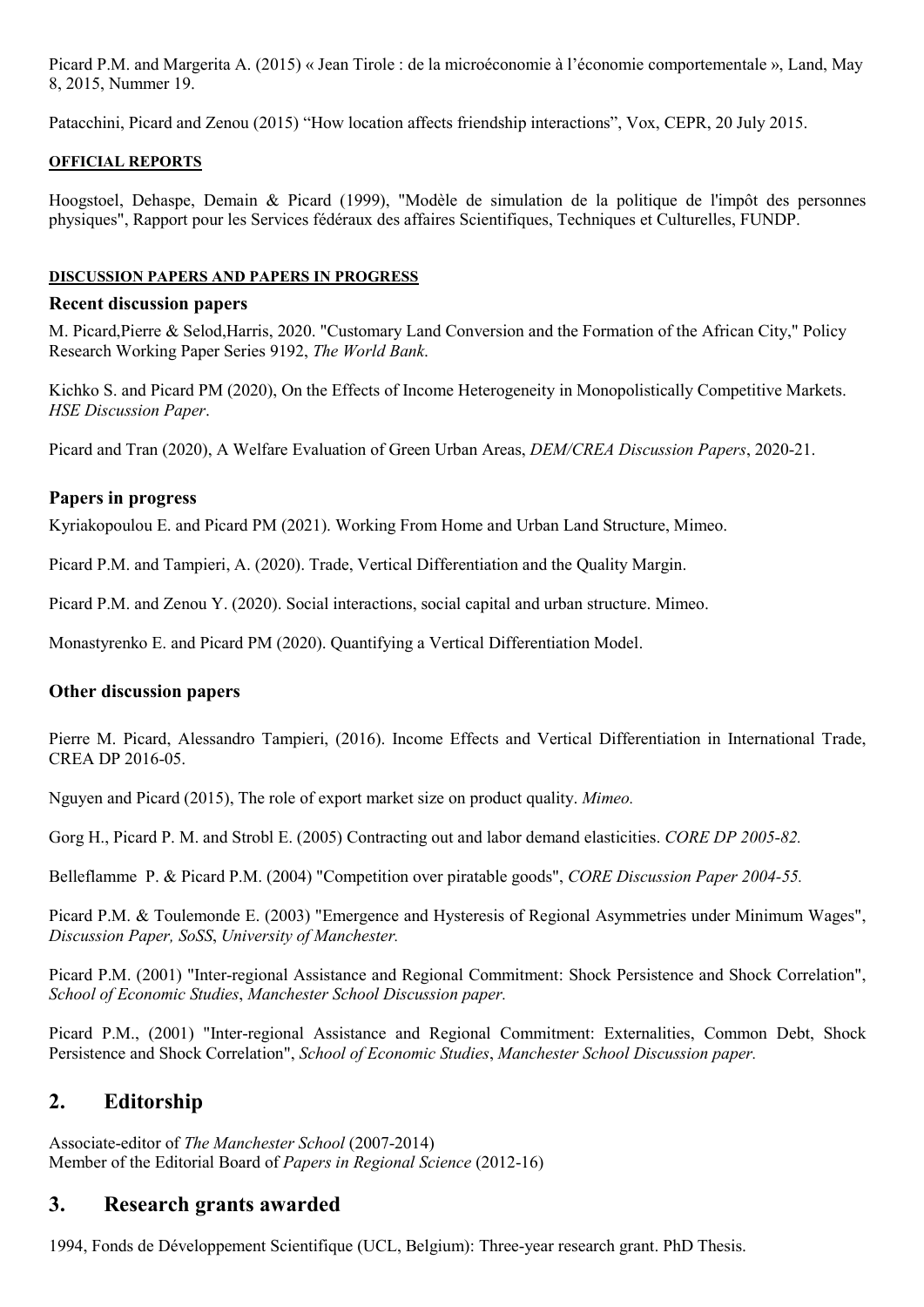Picard P.M. and Margerita A. (2015) « Jean Tirole : de la microéconomie à l'économie comportementale », Land, May 8, 2015, Nummer 19.

Patacchini, Picard and Zenou (2015) "How location affects friendship interactions", Vox, CEPR, 20 July 2015.

#### **OFFICIAL REPORTS**

Hoogstoel, Dehaspe, Demain & Picard (1999), "Modèle de simulation de la politique de l'impôt des personnes physiques", Rapport pour les Services fédéraux des affaires Scientifiques, Techniques et Culturelles, FUNDP.

#### **DISCUSSION PAPERS AND PAPERS IN PROGRESS**

#### **Recent discussion papers**

M. Picard,Pierre & Selod,Harris, 2020. "Customary Land Conversion and the Formation of the African City," Policy Research Working Paper Series 9192, *The World Bank*.

Kichko S. and Picard PM (2020), On the Effects of Income Heterogeneity in Monopolistically Competitive Markets. *HSE Discussion Paper*.

Picard and Tran (2020), A Welfare Evaluation of Green Urban Areas, *DEM/CREA Discussion Papers*, 2020-21.

#### **Papers in progress**

Kyriakopoulou E. and Picard PM (2021). Working From Home and Urban Land Structure, Mimeo.

Picard P.M. and Tampieri, A. (2020). Trade, Vertical Differentiation and the Quality Margin.

Picard P.M. and Zenou Y. (2020). Social interactions, social capital and urban structure. Mimeo.

Monastyrenko E. and Picard PM (2020). Quantifying a Vertical Differentiation Model.

#### **Other discussion papers**

Pierre M. Picard, Alessandro Tampieri, (2016). Income Effects and Vertical Differentiation in International Trade, CREA DP 2016-05.

Nguyen and Picard (2015), The role of export market size on product quality. *Mimeo.*

Gorg H., Picard P. M. and Strobl E. (2005) Contracting out and labor demand elasticities. *CORE DP 2005-82.*

Belleflamme P. & Picard P.M. (2004) "Competition over piratable goods", *CORE Discussion Paper 2004-55.*

Picard P.M. & Toulemonde E. (2003) "Emergence and Hysteresis of Regional Asymmetries under Minimum Wages", *Discussion Paper, SoSS*, *University of Manchester.*

Picard P.M. (2001) "Inter-regional Assistance and Regional Commitment: Shock Persistence and Shock Correlation", *School of Economic Studies*, *Manchester School Discussion paper.* 

Picard P.M., (2001) "Inter-regional Assistance and Regional Commitment: Externalities, Common Debt, Shock Persistence and Shock Correlation", *School of Economic Studies*, *Manchester School Discussion paper.*

# **2. Editorship**

Associate-editor of *The Manchester School* (2007-2014) Member of the Editorial Board of *Papers in Regional Science* (2012-16)

# **3. Research grants awarded**

1994, Fonds de Développement Scientifique (UCL, Belgium): Three-year research grant. PhD Thesis.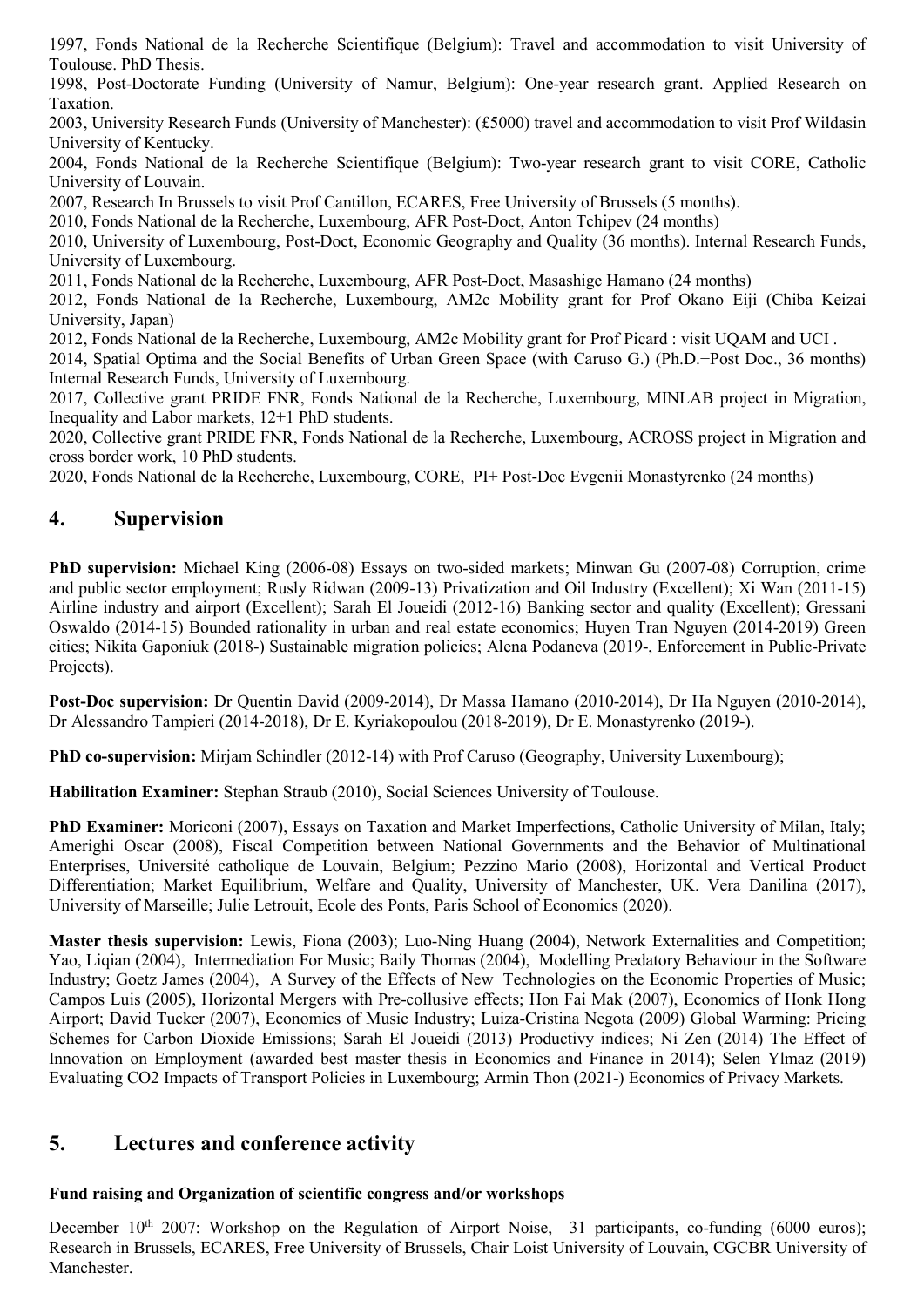1997, Fonds National de la Recherche Scientifique (Belgium): Travel and accommodation to visit University of Toulouse. PhD Thesis.

1998, Post-Doctorate Funding (University of Namur, Belgium): One-year research grant. Applied Research on Taxation.

2003, University Research Funds (University of Manchester): (£5000) travel and accommodation to visit Prof Wildasin University of Kentucky.

2004, Fonds National de la Recherche Scientifique (Belgium): Two-year research grant to visit CORE, Catholic University of Louvain.

2007, Research In Brussels to visit Prof Cantillon, ECARES, Free University of Brussels (5 months).

2010, Fonds National de la Recherche, Luxembourg, AFR Post-Doct, Anton Tchipev (24 months)

2010, University of Luxembourg, Post-Doct, Economic Geography and Quality (36 months). Internal Research Funds, University of Luxembourg.

2011, Fonds National de la Recherche, Luxembourg, AFR Post-Doct, Masashige Hamano (24 months)

2012, Fonds National de la Recherche, Luxembourg, AM2c Mobility grant for Prof Okano Eiji (Chiba Keizai University, Japan)

2012, Fonds National de la Recherche, Luxembourg, AM2c Mobility grant for Prof Picard : visit UQAM and UCI .

2014, Spatial Optima and the Social Benefits of Urban Green Space (with Caruso G.) (Ph.D.+Post Doc., 36 months) Internal Research Funds, University of Luxembourg.

2017, Collective grant PRIDE FNR, Fonds National de la Recherche, Luxembourg, MINLAB project in Migration, Inequality and Labor markets, 12+1 PhD students.

2020, Collective grant PRIDE FNR, Fonds National de la Recherche, Luxembourg, ACROSS project in Migration and cross border work, 10 PhD students.

2020, Fonds National de la Recherche, Luxembourg, CORE, PI+ Post-Doc Evgenii Monastyrenko (24 months)

# **4. Supervision**

**PhD supervision:** Michael King (2006-08) Essays on two-sided markets; Minwan Gu (2007-08) Corruption, crime and public sector employment; Rusly Ridwan (2009-13) Privatization and Oil Industry (Excellent); Xi Wan (2011-15) Airline industry and airport (Excellent); Sarah El Joueidi (2012-16) Banking sector and quality (Excellent); Gressani Oswaldo (2014-15) Bounded rationality in urban and real estate economics; Huyen Tran Nguyen (2014-2019) Green cities; Nikita Gaponiuk (2018-) Sustainable migration policies; Alena Podaneva (2019-, Enforcement in Public-Private Projects).

**Post-Doc supervision:** Dr Quentin David (2009-2014), Dr Massa Hamano (2010-2014), Dr Ha Nguyen (2010-2014), Dr Alessandro Tampieri (2014-2018), Dr E. Kyriakopoulou (2018-2019), Dr E. Monastyrenko (2019-).

**PhD co-supervision:** Mirjam Schindler (2012-14) with Prof Caruso (Geography, University Luxembourg);

**Habilitation Examiner:** Stephan Straub (2010), Social Sciences University of Toulouse.

**PhD Examiner:** Moriconi (2007), Essays on Taxation and Market Imperfections, Catholic University of Milan, Italy; Amerighi Oscar (2008), Fiscal Competition between National Governments and the Behavior of Multinational Enterprises, Université catholique de Louvain, Belgium; Pezzino Mario (2008), Horizontal and Vertical Product Differentiation; Market Equilibrium, Welfare and Quality, University of Manchester, UK. Vera Danilina (2017), University of Marseille; Julie Letrouit, Ecole des Ponts, Paris School of Economics (2020).

**Master thesis supervision:** Lewis, Fiona (2003); Luo-Ning Huang (2004), Network Externalities and Competition; Yao, Liqian (2004), Intermediation For Music; Baily Thomas (2004), Modelling Predatory Behaviour in the Software Industry; Goetz James (2004), A Survey of the Effects of New Technologies on the Economic Properties of Music; Campos Luis (2005), Horizontal Mergers with Pre-collusive effects; Hon Fai Mak (2007), Economics of Honk Hong Airport; David Tucker (2007), Economics of Music Industry; Luiza-Cristina Negota (2009) Global Warming: Pricing Schemes for Carbon Dioxide Emissions; Sarah El Joueidi (2013) Productivy indices; Ni Zen (2014) The Effect of Innovation on Employment (awarded best master thesis in Economics and Finance in 2014); Selen Ylmaz (2019) Evaluating CO2 Impacts of Transport Policies in Luxembourg; Armin Thon (2021-) Economics of Privacy Markets.

# **5. Lectures and conference activity**

### **Fund raising and Organization of scientific congress and/or workshops**

December  $10<sup>th</sup>$  2007: Workshop on the Regulation of Airport Noise, 31 participants, co-funding (6000 euros); Research in Brussels, ECARES, Free University of Brussels, Chair Loist University of Louvain, CGCBR University of Manchester.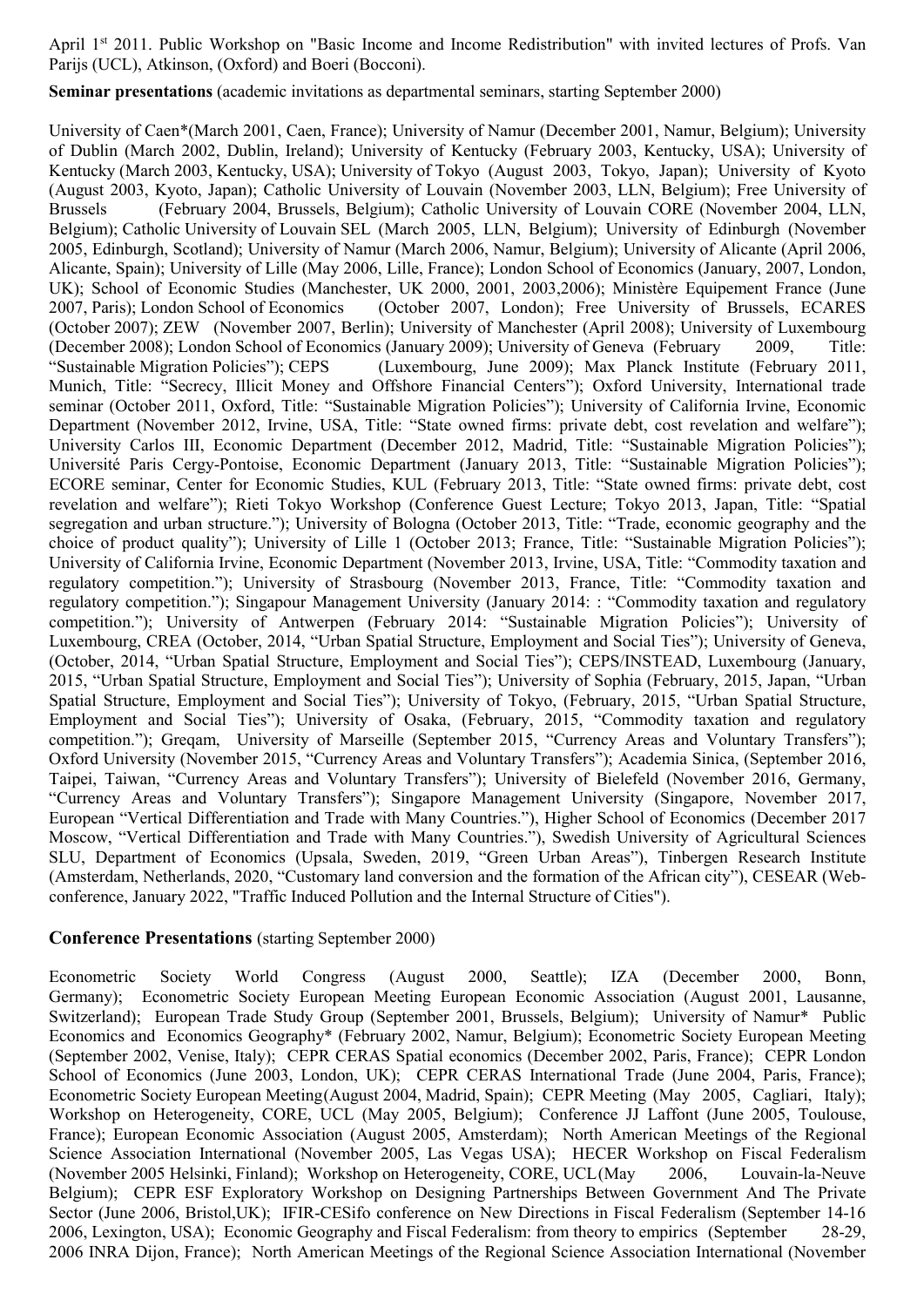April 1st 2011. Public Workshop on "Basic Income and Income Redistribution" with invited lectures of Profs. Van Parijs (UCL), Atkinson, (Oxford) and Boeri (Bocconi).

**Seminar presentations** (academic invitations as departmental seminars, starting September 2000)

University of Caen\*(March 2001, Caen, France); University of Namur (December 2001, Namur, Belgium); University of Dublin (March 2002, Dublin, Ireland); University of Kentucky (February 2003, Kentucky, USA); University of Kentucky (March 2003, Kentucky, USA); University of Tokyo (August 2003, Tokyo, Japan); University of Kyoto (August 2003, Kyoto, Japan); Catholic University of Louvain (November 2003, LLN, Belgium); Free University of Brussels (February 2004, Brussels, Belgium); Catholic University of Louvain CORE (November 2004, LLN, Belgium); Catholic University of Louvain SEL (March 2005, LLN, Belgium); University of Edinburgh (November 2005, Edinburgh, Scotland); University of Namur (March 2006, Namur, Belgium); University of Alicante (April 2006, Alicante, Spain); University of Lille (May 2006, Lille, France); London School of Economics (January, 2007, London, UK); School of Economic Studies (Manchester, UK 2000, 2001, 2003,2006); Ministère Equipement France (June 2007, Paris); London School of Economics (October 2007, London); Free University of Brussels, ECARES (October 2007); ZEW (November 2007, Berlin); University of Manchester (April 2008); University of Luxembourg (December 2008); London School of Economics (January 2009); University of Geneva (February 2009, Title: "Sustainable Migration Policies"); CEPS (Luxembourg, June 2009); Max Planck Institute (February 2011, Munich, Title: "Secrecy, Illicit Money and Offshore Financial Centers"); Oxford University, International trade seminar (October 2011, Oxford, Title: "Sustainable Migration Policies"); University of California Irvine, Economic Department (November 2012, Irvine, USA, Title: "State owned firms: private debt, cost revelation and welfare"); University Carlos III, Economic Department (December 2012, Madrid, Title: "Sustainable Migration Policies"); Université Paris Cergy-Pontoise, Economic Department (January 2013, Title: "Sustainable Migration Policies"); ECORE seminar, Center for Economic Studies, KUL (February 2013, Title: "State owned firms: private debt, cost revelation and welfare"); Rieti Tokyo Workshop (Conference Guest Lecture; Tokyo 2013, Japan, Title: "Spatial segregation and urban structure."); University of Bologna (October 2013, Title: "Trade, economic geography and the choice of product quality"); University of Lille 1 (October 2013; France, Title: "Sustainable Migration Policies"); University of California Irvine, Economic Department (November 2013, Irvine, USA, Title: "Commodity taxation and regulatory competition."); University of Strasbourg (November 2013, France, Title: "Commodity taxation and regulatory competition."); Singapour Management University (January 2014: : "Commodity taxation and regulatory competition."); University of Antwerpen (February 2014: "Sustainable Migration Policies"); University of Luxembourg, CREA (October, 2014, "Urban Spatial Structure, Employment and Social Ties"); University of Geneva, (October, 2014, "Urban Spatial Structure, Employment and Social Ties"); CEPS/INSTEAD, Luxembourg (January, 2015, "Urban Spatial Structure, Employment and Social Ties"); University of Sophia (February, 2015, Japan, "Urban Spatial Structure, Employment and Social Ties"); University of Tokyo, (February, 2015, "Urban Spatial Structure, Employment and Social Ties"); University of Osaka, (February, 2015, "Commodity taxation and regulatory competition."); Gregam, University of Marseille (September 2015, "Currency Areas and Voluntary Transfers"); Oxford University (November 2015, "Currency Areas and Voluntary Transfers"); Academia Sinica, (September 2016, Taipei, Taiwan, "Currency Areas and Voluntary Transfers"); University of Bielefeld (November 2016, Germany, "Currency Areas and Voluntary Transfers"); Singapore Management University (Singapore, November 2017, European "Vertical Differentiation and Trade with Many Countries."), Higher School of Economics (December 2017 Moscow, "Vertical Differentiation and Trade with Many Countries."), Swedish University of Agricultural Sciences SLU, Department of Economics (Upsala, Sweden, 2019, "Green Urban Areas"), Tinbergen Research Institute (Amsterdam, Netherlands, 2020, "Customary land conversion and the formation of the African city"), CESEAR (Webconference, January 2022, "Traffic Induced Pollution and the Internal Structure of Cities").

#### **Conference Presentations** (starting September 2000)

Econometric Society World Congress (August 2000, Seattle); IZA (December 2000, Bonn, Germany); Econometric Society European Meeting European Economic Association (August 2001, Lausanne, Switzerland); European Trade Study Group (September 2001, Brussels, Belgium); University of Namur\* Public Economics and Economics Geography\* (February 2002, Namur, Belgium); Econometric Society European Meeting (September 2002, Venise, Italy); CEPR CERAS Spatial economics (December 2002, Paris, France); CEPR London School of Economics (June 2003, London, UK); CEPR CERAS International Trade (June 2004, Paris, France); Econometric Society European Meeting(August 2004, Madrid, Spain); CEPR Meeting (May 2005, Cagliari, Italy); Workshop on Heterogeneity, CORE, UCL (May 2005, Belgium); Conference JJ Laffont (June 2005, Toulouse, France); European Economic Association (August 2005, Amsterdam); North American Meetings of the Regional Science Association International (November 2005, Las Vegas USA); HECER Workshop on Fiscal Federalism (November 2005 Helsinki, Finland); Workshop on Heterogeneity, CORE, UCL(May 2006, Louvain-la-Neuve Belgium); CEPR ESF Exploratory Workshop on Designing Partnerships Between Government And The Private Sector (June 2006, Bristol,UK); IFIR-CESifo conference on New Directions in Fiscal Federalism (September 14-16 2006, Lexington, USA); Economic Geography and Fiscal Federalism: from theory to empirics (September 28-29, 2006 INRA Dijon, France); North American Meetings of the Regional Science Association International (November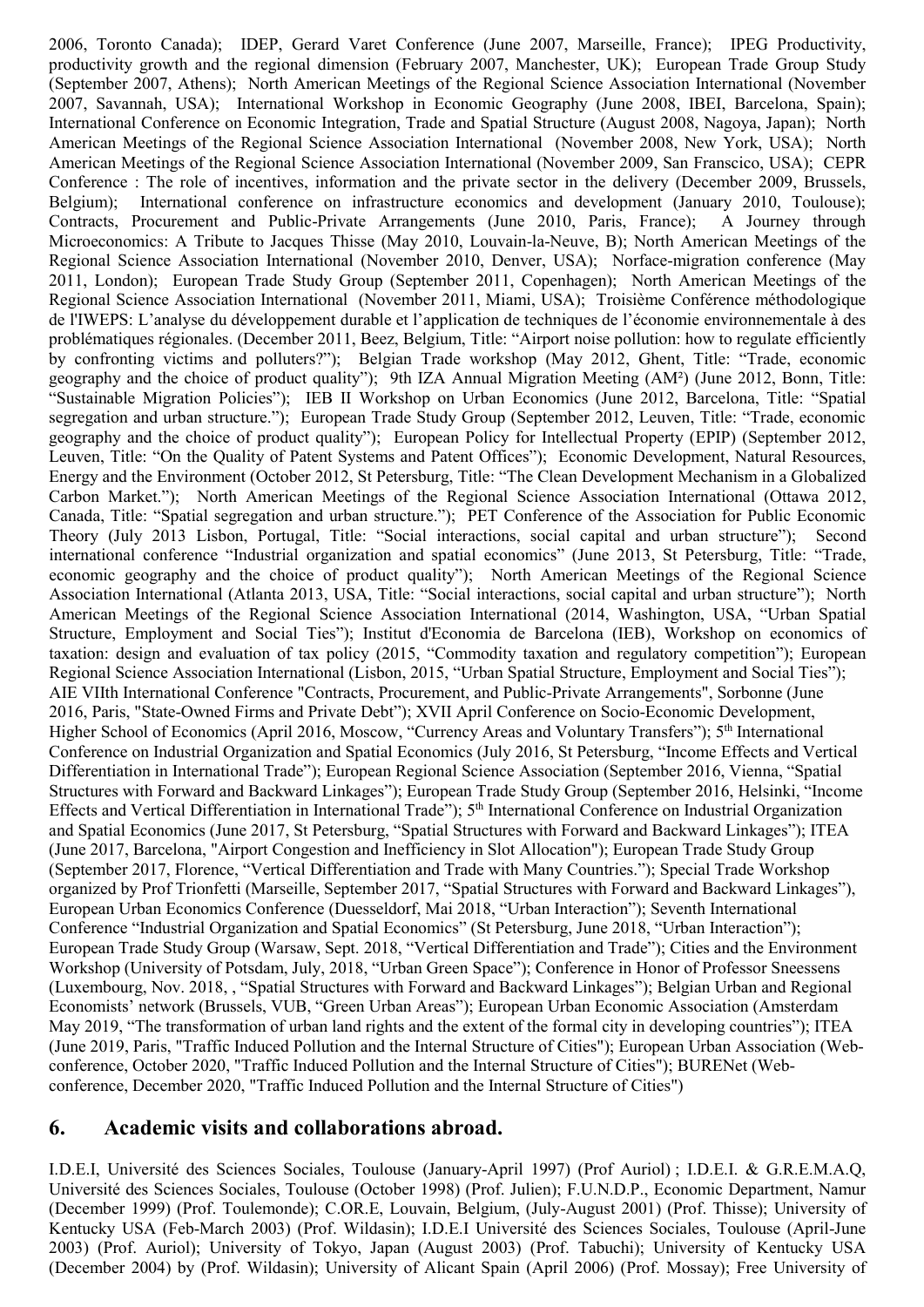2006, Toronto Canada); IDEP, Gerard Varet Conference (June 2007, Marseille, France); IPEG Productivity, productivity growth and the regional dimension (February 2007, Manchester, UK); European Trade Group Study (September 2007, Athens); North American Meetings of the Regional Science Association International (November 2007, Savannah, USA); International Workshop in Economic Geography (June 2008, IBEI, Barcelona, Spain); International Conference on Economic Integration, Trade and Spatial Structure (August 2008, Nagoya, Japan); North American Meetings of the Regional Science Association International (November 2008, New York, USA); North American Meetings of the Regional Science Association International (November 2009, San Franscico, USA); CEPR Conference : The role of incentives, information and the private sector in the delivery (December 2009, Brussels, Belgium); International conference on infrastructure economics and development (January 2010, Toulouse); Contracts, Procurement and Public-Private Arrangements (June 2010, Paris, France); A Journey through Microeconomics: A Tribute to Jacques Thisse (May 2010, Louvain-la-Neuve, B); North American Meetings of the Regional Science Association International (November 2010, Denver, USA); Norface-migration conference (May 2011, London); European Trade Study Group (September 2011, Copenhagen); North American Meetings of the Regional Science Association International (November 2011, Miami, USA); Troisième Conférence méthodologique de l'IWEPS: L'analyse du développement durable et l'application de techniques de l'économie environnementale à des problématiques régionales. (December 2011, Beez, Belgium, Title: "Airport noise pollution: how to regulate efficiently by confronting victims and polluters?"); Belgian Trade workshop (May 2012, Ghent, Title: "Trade, economic geography and the choice of product quality"); 9th IZA Annual Migration Meeting (AM²) (June 2012, Bonn, Title: "Sustainable Migration Policies"); IEB II Workshop on Urban Economics (June 2012, Barcelona, Title: "Spatial segregation and urban structure."); European Trade Study Group (September 2012, Leuven, Title: "Trade, economic geography and the choice of product quality"); European Policy for Intellectual Property (EPIP) (September 2012, Leuven, Title: "On the Quality of Patent Systems and Patent Offices"); Economic Development, Natural Resources, Energy and the Environment (October 2012, St Petersburg, Title: "The Clean Development Mechanism in a Globalized Carbon Market."); North American Meetings of the Regional Science Association International (Ottawa 2012, Canada, Title: "Spatial segregation and urban structure."); PET Conference of the Association for Public Economic Theory (July 2013 Lisbon, Portugal, Title: "Social interactions, social capital and urban structure"); Second international conference "Industrial organization and spatial economics" (June 2013, St Petersburg, Title: "Trade, economic geography and the choice of product quality"); North American Meetings of the Regional Science Association International (Atlanta 2013, USA, Title: "Social interactions, social capital and urban structure"); North American Meetings of the Regional Science Association International (2014, Washington, USA, "Urban Spatial Structure, Employment and Social Ties"); Institut d'Economia de Barcelona (IEB), Workshop on economics of taxation: design and evaluation of tax policy (2015, "Commodity taxation and regulatory competition"); European Regional Science Association International (Lisbon, 2015, "Urban Spatial Structure, Employment and Social Ties"); AIE VIIth International Conference "Contracts, Procurement, and Public-Private Arrangements", Sorbonne (June 2016, Paris, "State-Owned Firms and Private Debt"); XVII April Conference on Socio-Economic Development, Higher School of Economics (April 2016, Moscow, "Currency Areas and Voluntary Transfers"); 5<sup>th</sup> International Conference on Industrial Organization and Spatial Economics (July 2016, St Petersburg, "Income Effects and Vertical Differentiation in International Trade"); European Regional Science Association (September 2016, Vienna, "Spatial Structures with Forward and Backward Linkages"); European Trade Study Group (September 2016, Helsinki, "Income Effects and Vertical Differentiation in International Trade"); 5<sup>th</sup> International Conference on Industrial Organization and Spatial Economics (June 2017, St Petersburg, "Spatial Structures with Forward and Backward Linkages"); ITEA (June 2017, Barcelona, "Airport Congestion and Inefficiency in Slot Allocation"); European Trade Study Group (September 2017, Florence, "Vertical Differentiation and Trade with Many Countries."); Special Trade Workshop organized by Prof Trionfetti (Marseille, September 2017, "Spatial Structures with Forward and Backward Linkages"), European Urban Economics Conference (Duesseldorf, Mai 2018, "Urban Interaction"); Seventh International Conference "Industrial Organization and Spatial Economics" (St Petersburg, June 2018, "Urban Interaction"); European Trade Study Group (Warsaw, Sept. 2018, "Vertical Differentiation and Trade"); Cities and the Environment Workshop (University of Potsdam, July, 2018, "Urban Green Space"); Conference in Honor of Professor Sneessens (Luxembourg, Nov. 2018, , "Spatial Structures with Forward and Backward Linkages"); Belgian Urban and Regional Economists' network (Brussels, VUB, "Green Urban Areas"); European Urban Economic Association (Amsterdam May 2019, "The transformation of urban land rights and the extent of the formal city in developing countries"); ITEA (June 2019, Paris, "Traffic Induced Pollution and the Internal Structure of Cities"); European Urban Association (Webconference, October 2020, "Traffic Induced Pollution and the Internal Structure of Cities"); BURENet (Webconference, December 2020, "Traffic Induced Pollution and the Internal Structure of Cities")

#### **6. Academic visits and collaborations abroad.**

I.D.E.I, Université des Sciences Sociales, Toulouse (January-April 1997) (Prof Auriol) ; I.D.E.I. & G.R.E.M.A.Q, Université des Sciences Sociales, Toulouse (October 1998) (Prof. Julien); F.U.N.D.P., Economic Department, Namur (December 1999) (Prof. Toulemonde); C.OR.E, Louvain, Belgium, (July-August 2001) (Prof. Thisse); University of Kentucky USA (Feb-March 2003) (Prof. Wildasin); I.D.E.I Université des Sciences Sociales, Toulouse (April-June 2003) (Prof. Auriol); University of Tokyo, Japan (August 2003) (Prof. Tabuchi); University of Kentucky USA (December 2004) by (Prof. Wildasin); University of Alicant Spain (April 2006) (Prof. Mossay); Free University of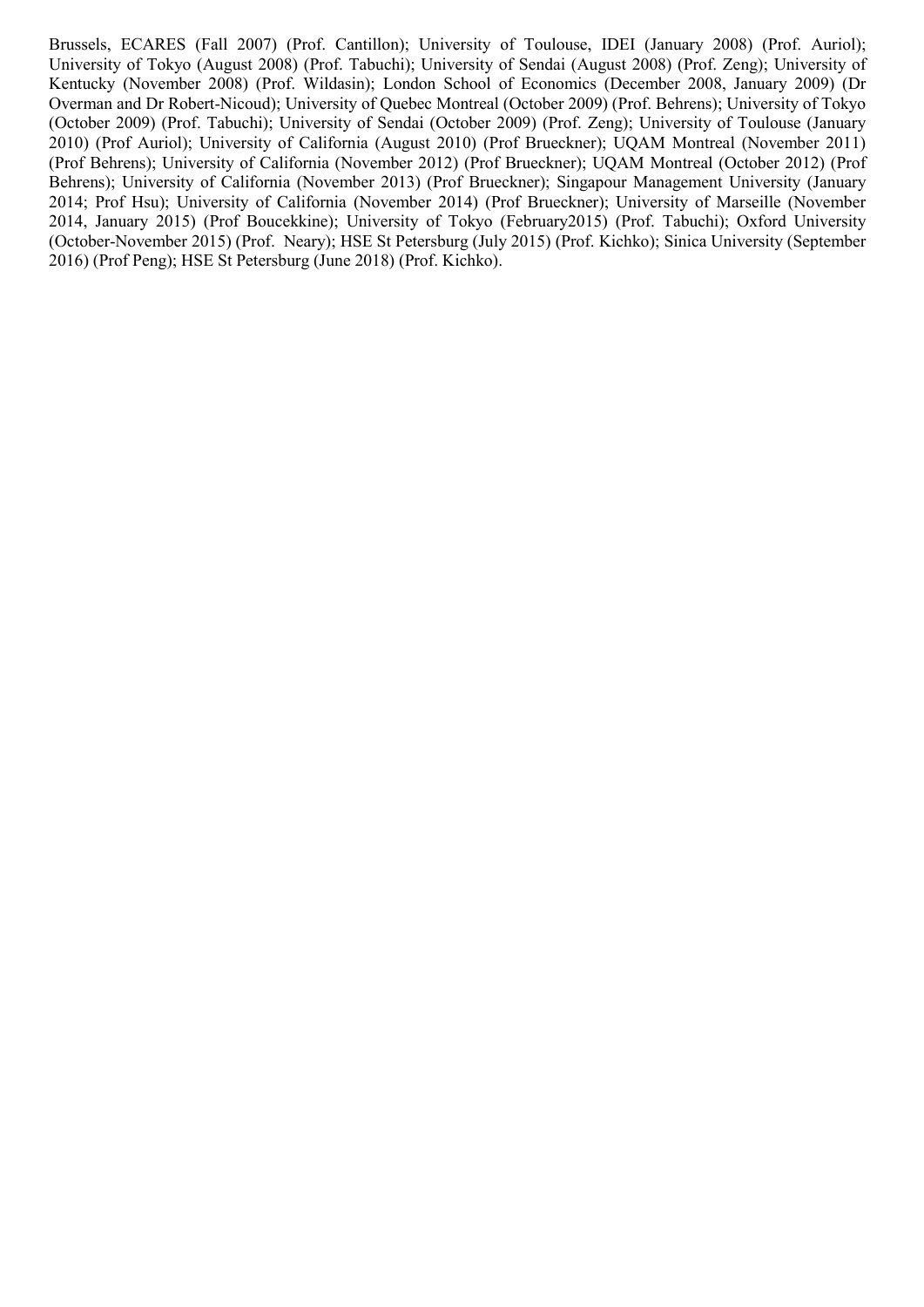Brussels, ECARES (Fall 2007) (Prof. Cantillon); University of Toulouse, IDEI (January 2008) (Prof. Auriol); University of Tokyo (August 2008) (Prof. Tabuchi); University of Sendai (August 2008) (Prof. Zeng); University of Kentucky (November 2008) (Prof. Wildasin); London School of Economics (December 2008, January 2009) (Dr Overman and Dr Robert-Nicoud); University of Quebec Montreal (October 2009) (Prof. Behrens); University of Tokyo (October 2009) (Prof. Tabuchi); University of Sendai (October 2009) (Prof. Zeng); University of Toulouse (January 2010) (Prof Auriol); University of California (August 2010) (Prof Brueckner); UQAM Montreal (November 2011) (Prof Behrens); University of California (November 2012) (Prof Brueckner); UQAM Montreal (October 2012) (Prof Behrens); University of California (November 2013) (Prof Brueckner); Singapour Management University (January 2014; Prof Hsu); University of California (November 2014) (Prof Brueckner); University of Marseille (November 2014, January 2015) (Prof Boucekkine); University of Tokyo (February2015) (Prof. Tabuchi); Oxford University (October-November 2015) (Prof. Neary); HSE St Petersburg (July 2015) (Prof. Kichko); Sinica University (September 2016) (Prof Peng); HSE St Petersburg (June 2018) (Prof. Kichko).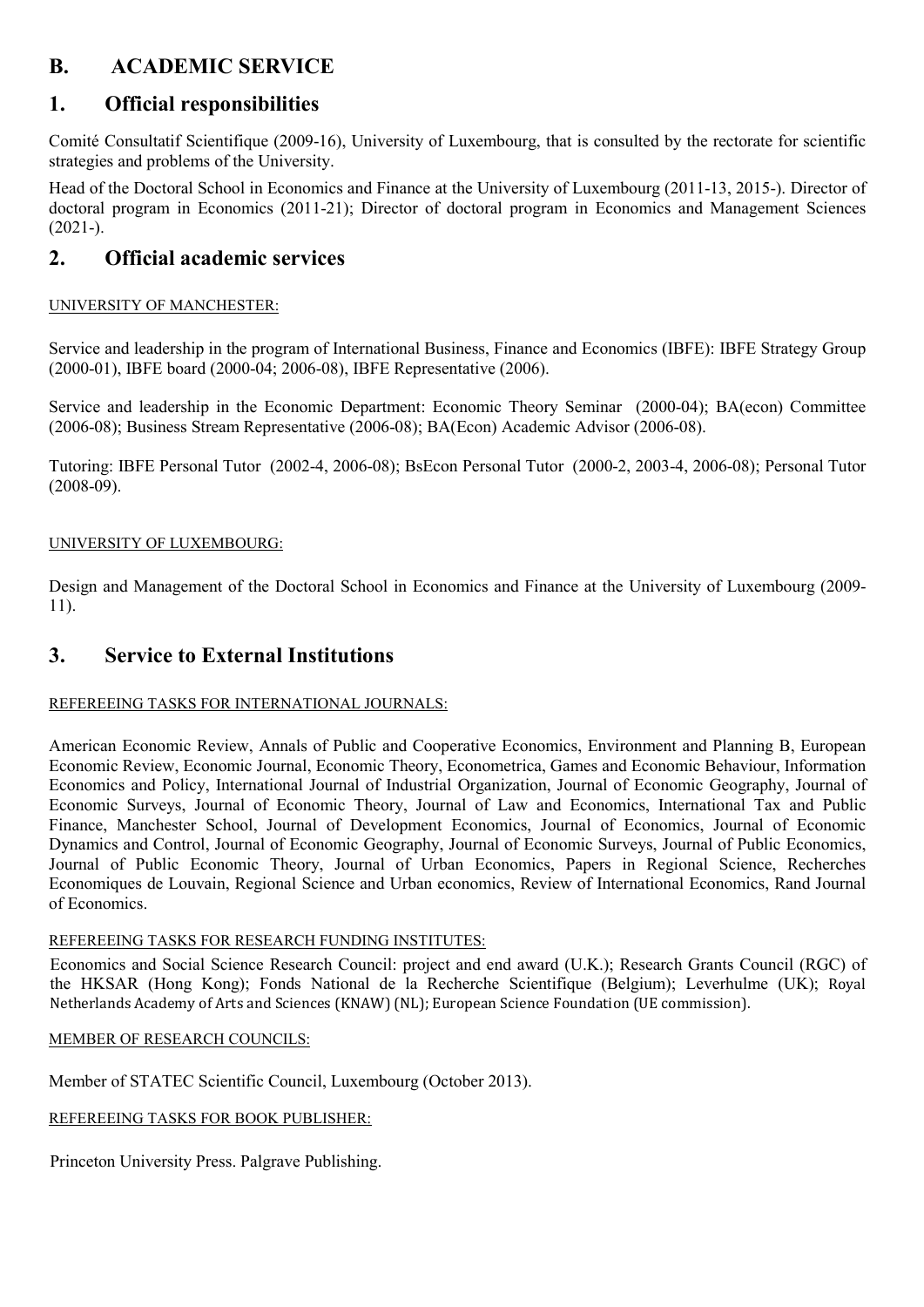# **B. ACADEMIC SERVICE**

# **1. Official responsibilities**

Comité Consultatif Scientifique (2009-16), University of Luxembourg, that is consulted by the rectorate for scientific strategies and problems of the University.

Head of the Doctoral School in Economics and Finance at the University of Luxembourg (2011-13, 2015-). Director of doctoral program in Economics (2011-21); Director of doctoral program in Economics and Management Sciences  $(2021-).$ 

# **2. Official academic services**

#### UNIVERSITY OF MANCHESTER:

Service and leadership in the program of International Business, Finance and Economics (IBFE): IBFE Strategy Group (2000-01), IBFE board (2000-04; 2006-08), IBFE Representative (2006).

Service and leadership in the Economic Department: Economic Theory Seminar (2000-04); BA(econ) Committee (2006-08); Business Stream Representative (2006-08); BA(Econ) Academic Advisor (2006-08).

Tutoring: IBFE Personal Tutor (2002-4, 2006-08); BsEcon Personal Tutor (2000-2, 2003-4, 2006-08); Personal Tutor  $(2008-09)$ .

#### UNIVERSITY OF LUXEMBOURG:

Design and Management of the Doctoral School in Economics and Finance at the University of Luxembourg (2009- 11).

# **3. Service to External Institutions**

#### REFEREEING TASKS FOR INTERNATIONAL JOURNALS:

American Economic Review, Annals of Public and Cooperative Economics, Environment and Planning B, European Economic Review, Economic Journal, Economic Theory, Econometrica, Games and Economic Behaviour, Information Economics and Policy, International Journal of Industrial Organization, Journal of Economic Geography, Journal of Economic Surveys, Journal of Economic Theory, Journal of Law and Economics, International Tax and Public Finance, Manchester School, Journal of Development Economics, Journal of Economics, Journal of Economic Dynamics and Control, Journal of Economic Geography, Journal of Economic Surveys, Journal of Public Economics, Journal of Public Economic Theory, Journal of Urban Economics, Papers in Regional Science, Recherches Economiques de Louvain, Regional Science and Urban economics, Review of International Economics, Rand Journal of Economics.

#### REFEREEING TASKS FOR RESEARCH FUNDING INSTITUTES:

Economics and Social Science Research Council: project and end award (U.K.); Research Grants Council (RGC) of the HKSAR (Hong Kong); Fonds National de la Recherche Scientifique (Belgium); Leverhulme (UK); Royal Netherlands Academy of Arts and Sciences (KNAW) (NL); European Science Foundation (UE commission).

#### MEMBER OF RESEARCH COUNCILS:

Member of STATEC Scientific Council, Luxembourg (October 2013).

#### REFEREEING TASKS FOR BOOK PUBLISHER:

Princeton University Press. Palgrave Publishing.